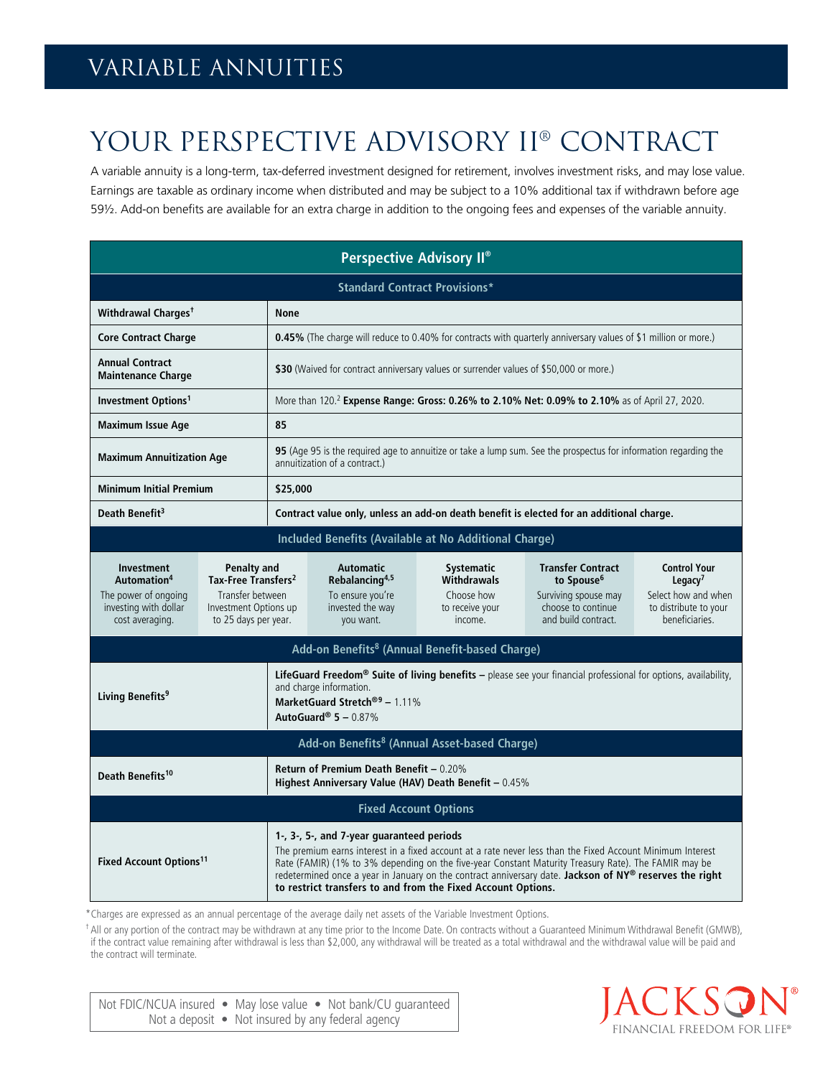## Variable annuities

## YOUR PERSPECTIVE ADVISORY II® CONTRACT

A variable annuity is a long-term, tax-deferred investment designed for retirement, involves investment risks, and may lose value. Earnings are taxable as ordinary income when distributed and may be subject to a 10% additional tax if withdrawn before age 59½. Add-on benefits are available for an extra charge in addition to the ongoing fees and expenses of the variable annuity.

| <b>Perspective Advisory II®</b>                                                                                                                                                                                                                                                                                                                                                                                                                                                         |  |                                                                                                                                                                                                                             |                                                                                                     |                                                                                     |                                                                                                                         |                                                                                                              |
|-----------------------------------------------------------------------------------------------------------------------------------------------------------------------------------------------------------------------------------------------------------------------------------------------------------------------------------------------------------------------------------------------------------------------------------------------------------------------------------------|--|-----------------------------------------------------------------------------------------------------------------------------------------------------------------------------------------------------------------------------|-----------------------------------------------------------------------------------------------------|-------------------------------------------------------------------------------------|-------------------------------------------------------------------------------------------------------------------------|--------------------------------------------------------------------------------------------------------------|
| <b>Standard Contract Provisions*</b>                                                                                                                                                                                                                                                                                                                                                                                                                                                    |  |                                                                                                                                                                                                                             |                                                                                                     |                                                                                     |                                                                                                                         |                                                                                                              |
| Withdrawal Charges <sup>†</sup>                                                                                                                                                                                                                                                                                                                                                                                                                                                         |  | <b>None</b>                                                                                                                                                                                                                 |                                                                                                     |                                                                                     |                                                                                                                         |                                                                                                              |
| <b>Core Contract Charge</b>                                                                                                                                                                                                                                                                                                                                                                                                                                                             |  | <b>0.45%</b> (The charge will reduce to 0.40% for contracts with quarterly anniversary values of \$1 million or more.)                                                                                                      |                                                                                                     |                                                                                     |                                                                                                                         |                                                                                                              |
| <b>Annual Contract</b><br><b>Maintenance Charge</b>                                                                                                                                                                                                                                                                                                                                                                                                                                     |  | \$30 (Waived for contract anniversary values or surrender values of \$50,000 or more.)                                                                                                                                      |                                                                                                     |                                                                                     |                                                                                                                         |                                                                                                              |
| Investment Options <sup>1</sup>                                                                                                                                                                                                                                                                                                                                                                                                                                                         |  | More than 120. <sup>2</sup> Expense Range: Gross: 0.26% to 2.10% Net: 0.09% to 2.10% as of April 27, 2020.                                                                                                                  |                                                                                                     |                                                                                     |                                                                                                                         |                                                                                                              |
| <b>Maximum Issue Age</b>                                                                                                                                                                                                                                                                                                                                                                                                                                                                |  | 85                                                                                                                                                                                                                          |                                                                                                     |                                                                                     |                                                                                                                         |                                                                                                              |
| <b>Maximum Annuitization Age</b>                                                                                                                                                                                                                                                                                                                                                                                                                                                        |  | 95 (Age 95 is the required age to annuitize or take a lump sum. See the prospectus for information regarding the<br>annuitization of a contract.)                                                                           |                                                                                                     |                                                                                     |                                                                                                                         |                                                                                                              |
| <b>Minimum Initial Premium</b>                                                                                                                                                                                                                                                                                                                                                                                                                                                          |  | \$25,000                                                                                                                                                                                                                    |                                                                                                     |                                                                                     |                                                                                                                         |                                                                                                              |
| Death Benefit <sup>3</sup>                                                                                                                                                                                                                                                                                                                                                                                                                                                              |  | Contract value only, unless an add-on death benefit is elected for an additional charge.                                                                                                                                    |                                                                                                     |                                                                                     |                                                                                                                         |                                                                                                              |
| Included Benefits (Available at No Additional Charge)                                                                                                                                                                                                                                                                                                                                                                                                                                   |  |                                                                                                                                                                                                                             |                                                                                                     |                                                                                     |                                                                                                                         |                                                                                                              |
| <b>Investment</b><br>Penalty and<br>Tax-Free Transfers <sup>2</sup><br>Automation <sup>4</sup><br>The power of ongoing<br>Transfer between<br>investing with dollar<br>Investment Options up<br>cost averaging.<br>to 25 days per year.                                                                                                                                                                                                                                                 |  |                                                                                                                                                                                                                             | <b>Automatic</b><br>Rebalancing <sup>4,5</sup><br>To ensure you're<br>invested the way<br>you want. | <b>Systematic</b><br><b>Withdrawals</b><br>Choose how<br>to receive your<br>income. | <b>Transfer Contract</b><br>to Spouse <sup>6</sup><br>Surviving spouse may<br>choose to continue<br>and build contract. | <b>Control Your</b><br>Legacy <sup>7</sup><br>Select how and when<br>to distribute to your<br>beneficiaries. |
| Add-on Benefits <sup>8</sup> (Annual Benefit-based Charge)                                                                                                                                                                                                                                                                                                                                                                                                                              |  |                                                                                                                                                                                                                             |                                                                                                     |                                                                                     |                                                                                                                         |                                                                                                              |
| Living Benefits <sup>9</sup>                                                                                                                                                                                                                                                                                                                                                                                                                                                            |  | LifeGuard Freedom® Suite of living benefits - please see your financial professional for options, availability,<br>and charge information.<br>MarketGuard Stretch® <sup>9</sup> - 1.11%<br>AutoGuard <sup>®</sup> 5 - 0.87% |                                                                                                     |                                                                                     |                                                                                                                         |                                                                                                              |
| Add-on Benefits <sup>8</sup> (Annual Asset-based Charge)                                                                                                                                                                                                                                                                                                                                                                                                                                |  |                                                                                                                                                                                                                             |                                                                                                     |                                                                                     |                                                                                                                         |                                                                                                              |
| Death Benefits <sup>10</sup>                                                                                                                                                                                                                                                                                                                                                                                                                                                            |  | Return of Premium Death Benefit - 0.20%<br>Highest Anniversary Value (HAV) Death Benefit - 0.45%                                                                                                                            |                                                                                                     |                                                                                     |                                                                                                                         |                                                                                                              |
| <b>Fixed Account Options</b>                                                                                                                                                                                                                                                                                                                                                                                                                                                            |  |                                                                                                                                                                                                                             |                                                                                                     |                                                                                     |                                                                                                                         |                                                                                                              |
| 1-, 3-, 5-, and 7-year guaranteed periods<br>The premium earns interest in a fixed account at a rate never less than the Fixed Account Minimum Interest<br><b>Fixed Account Options<sup>11</sup></b><br>Rate (FAMIR) (1% to 3% depending on the five-year Constant Maturity Treasury Rate). The FAMIR may be<br>redetermined once a year in January on the contract anniversary date. Jackson of NY® reserves the right<br>to restrict transfers to and from the Fixed Account Options. |  |                                                                                                                                                                                                                             |                                                                                                     |                                                                                     |                                                                                                                         |                                                                                                              |

\*Charges are expressed as an annual percentage of the average daily net assets of the Variable Investment Options.

†All or any portion of the contract may be withdrawn at any time prior to the Income Date. On contracts without a Guaranteed Minimum Withdrawal Benefit (GMWB), if the contract value remaining after withdrawal is less than \$2,000, any withdrawal will be treated as a total withdrawal and the withdrawal value will be paid and the contract will terminate.

Not FDIC/NCUA insured • May lose value • Not bank/CU quaranteed Not a deposit • Not insured by any federal agency